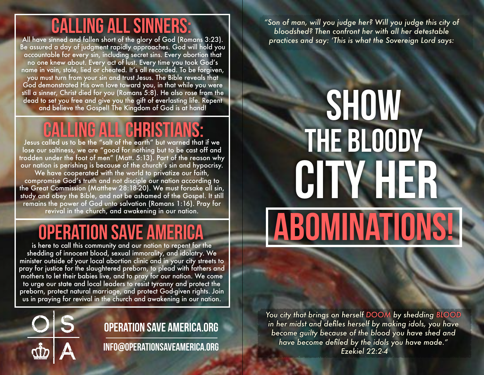### calling all sinners:

All have sinned and fallen short of the glory of God (Romans 3:23). Be assured a day of judgment rapidly approaches. God will hold you accountable for every sin, including secret sins. Every abortion that no one knew about. Every act of lust. Every time you took God's name in vain, stole, lied or cheated. It's all recorded. To be forgiven, you must turn from your sin and trust Jesus. The Bible reveals that God demonstrated His own love toward you, in that while you were still a sinner, Christ died for you (Romans 5:8). He also rose from the dead to set you free and give you the gift of everlasting life. Repent and believe the Gospel! The Kingdom of God is at hand!

## **CALLING ALL CHRISTIA**

Jesus called us to be the "salt of the earth" but warned that if we lose our saltiness, we are "good for nothing but to be cast off and trodden under the foot of men" (Matt. 5:13). Part of the reason why our nation is perishing is because of the church's sin and hypocrisy. We have cooperated with the world to privatize our faith, compromise God's truth and not disciple our nation according to the Great Commission (Matthew 28:18-20). We must forsake all sin, study and obey the Bible, and not be ashamed of the Gospel. It still remains the power of God unto salvation (Romans 1:16). Pray for revival in the church, and awakening in our nation.

### Operation Save America

is here to call this community and our nation to repent for the shedding of innocent blood, sexual immorality, and idolatry. We minister outside of your local abortion clinic and in your city streets to pray for justice for the slaughtered preborn, to plead with fathers and mothers to let their babies live, and to pray for our nation. We come to urge our state and local leaders to resist tyranny and protect the preborn, protect natural marriage, and protect God-given rights. Join us in praying for revival in the church and awakening in our nation.



### operation save america.org

info@operationsaveamerica.org

*"Son of man, will you judge her? Will you judge this city of bloodshed? Then confront her with all her detestable practices and say: 'This is what the Sovereign Lord says:*

# THE BLOODY city her **ABOMINATIONS! SHOW**

*You city that brings on herself DOOM by shedding BLOOD in her midst and defiles herself by making idols, you have become guilty because of the blood you have shed and have become defiled by the idols you have made." Ezekiel 22:2-4*